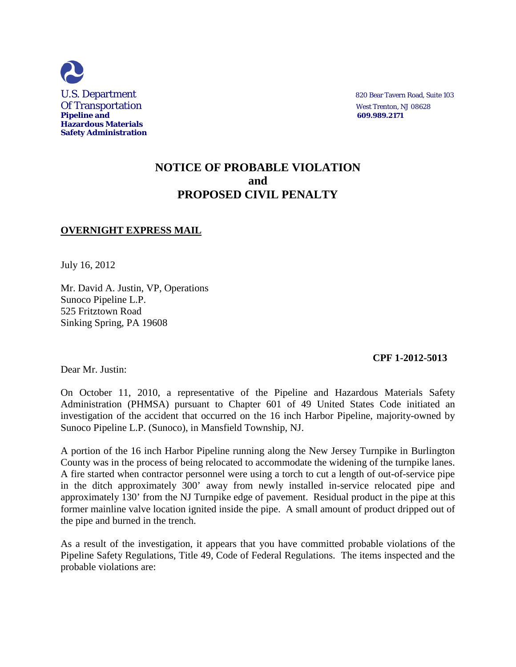

# **NOTICE OF PROBABLE VIOLATION and PROPOSED CIVIL PENALTY**

### **OVERNIGHT EXPRESS MAIL**

July 16, 2012

Mr. David A. Justin, VP, Operations Sunoco Pipeline L.P. 525 Fritztown Road Sinking Spring, PA 19608

#### **CPF 1-2012-5013**

Dear Mr. Justin:

On October 11, 2010, a representative of the Pipeline and Hazardous Materials Safety Administration (PHMSA) pursuant to Chapter 601 of 49 United States Code initiated an investigation of the accident that occurred on the 16 inch Harbor Pipeline, majority-owned by Sunoco Pipeline L.P. (Sunoco), in Mansfield Township, NJ.

A portion of the 16 inch Harbor Pipeline running along the New Jersey Turnpike in Burlington County was in the process of being relocated to accommodate the widening of the turnpike lanes. A fire started when contractor personnel were using a torch to cut a length of out-of-service pipe in the ditch approximately 300' away from newly installed in-service relocated pipe and approximately 130' from the NJ Turnpike edge of pavement. Residual product in the pipe at this former mainline valve location ignited inside the pipe. A small amount of product dripped out of the pipe and burned in the trench.

As a result of the investigation, it appears that you have committed probable violations of the Pipeline Safety Regulations, Title 49, Code of Federal Regulations. The items inspected and the probable violations are: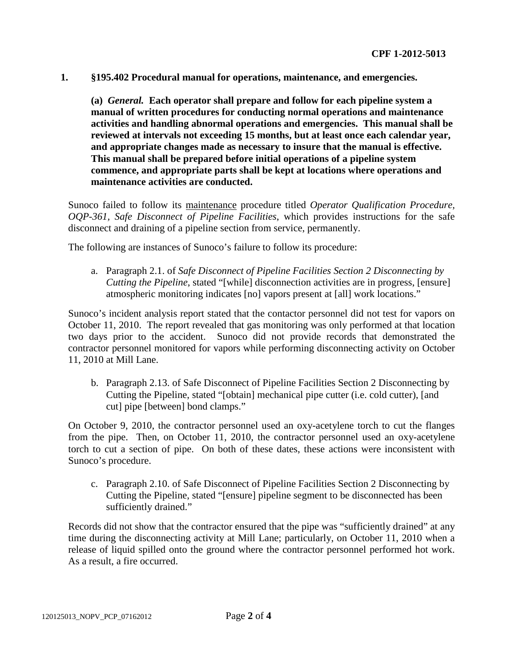**1. §195.402 Procedural manual for operations, maintenance, and emergencies.**

**(a)** *General.* **Each operator shall prepare and follow for each pipeline system a manual of written procedures for conducting normal operations and maintenance activities and handling abnormal operations and emergencies. This manual shall be reviewed at intervals not exceeding 15 months, but at least once each calendar year, and appropriate changes made as necessary to insure that the manual is effective. This manual shall be prepared before initial operations of a pipeline system commence, and appropriate parts shall be kept at locations where operations and maintenance activities are conducted.**

Sunoco failed to follow its maintenance procedure titled *Operator Qualification Procedure, OQP-361, Safe Disconnect of Pipeline Facilities*, which provides instructions for the safe disconnect and draining of a pipeline section from service, permanently.

The following are instances of Sunoco's failure to follow its procedure:

a. Paragraph 2.1. of *Safe Disconnect of Pipeline Facilities Section 2 Disconnecting by Cutting the Pipeline*, stated "[while] disconnection activities are in progress, [ensure] atmospheric monitoring indicates [no] vapors present at [all] work locations."

Sunoco's incident analysis report stated that the contactor personnel did not test for vapors on October 11, 2010. The report revealed that gas monitoring was only performed at that location two days prior to the accident. Sunoco did not provide records that demonstrated the contractor personnel monitored for vapors while performing disconnecting activity on October 11, 2010 at Mill Lane.

b. Paragraph 2.13. of Safe Disconnect of Pipeline Facilities Section 2 Disconnecting by Cutting the Pipeline, stated "[obtain] mechanical pipe cutter (i.e. cold cutter), [and cut] pipe [between] bond clamps."

On October 9, 2010, the contractor personnel used an oxy-acetylene torch to cut the flanges from the pipe. Then, on October 11, 2010, the contractor personnel used an oxy-acetylene torch to cut a section of pipe. On both of these dates, these actions were inconsistent with Sunoco's procedure.

c. Paragraph 2.10. of Safe Disconnect of Pipeline Facilities Section 2 Disconnecting by Cutting the Pipeline, stated "[ensure] pipeline segment to be disconnected has been sufficiently drained."

Records did not show that the contractor ensured that the pipe was "sufficiently drained" at any time during the disconnecting activity at Mill Lane; particularly, on October 11, 2010 when a release of liquid spilled onto the ground where the contractor personnel performed hot work. As a result, a fire occurred.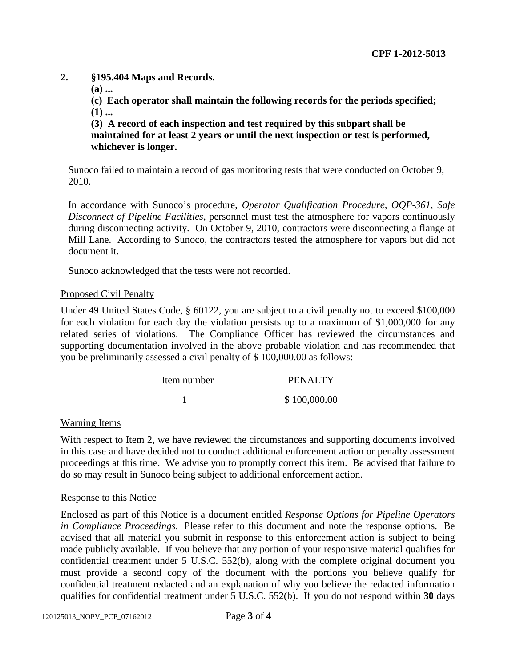# **2. §195.404 Maps and Records.**

**(a) ...**

**(c) Each operator shall maintain the following records for the periods specified; (1) ...**

**(3) A record of each inspection and test required by this subpart shall be maintained for at least 2 years or until the next inspection or test is performed, whichever is longer.**

Sunoco failed to maintain a record of gas monitoring tests that were conducted on October 9, 2010.

In accordance with Sunoco's procedure, *Operator Qualification Procedure, OQP-361, Safe Disconnect of Pipeline Facilities*, personnel must test the atmosphere for vapors continuously during disconnecting activity. On October 9, 2010, contractors were disconnecting a flange at Mill Lane. According to Sunoco, the contractors tested the atmosphere for vapors but did not document it.

Sunoco acknowledged that the tests were not recorded.

# Proposed Civil Penalty

Under 49 United States Code, § 60122, you are subject to a civil penalty not to exceed \$100,000 for each violation for each day the violation persists up to a maximum of \$1,000,000 for any related series of violations. The Compliance Officer has reviewed the circumstances and supporting documentation involved in the above probable violation and has recommended that you be preliminarily assessed a civil penalty of \$ 100,000.00 as follows:

| Item number | <b>PENALTY</b> |
|-------------|----------------|
|             | \$100,000.00   |

### Warning Items

With respect to Item 2, we have reviewed the circumstances and supporting documents involved in this case and have decided not to conduct additional enforcement action or penalty assessment proceedings at this time. We advise you to promptly correct this item. Be advised that failure to do so may result in Sunoco being subject to additional enforcement action.

### Response to this Notice

Enclosed as part of this Notice is a document entitled *Response Options for Pipeline Operators in Compliance Proceedings*. Please refer to this document and note the response options. Be advised that all material you submit in response to this enforcement action is subject to being made publicly available. If you believe that any portion of your responsive material qualifies for confidential treatment under 5 U.S.C. 552(b), along with the complete original document you must provide a second copy of the document with the portions you believe qualify for confidential treatment redacted and an explanation of why you believe the redacted information qualifies for confidential treatment under 5 U.S.C. 552(b). If you do not respond within **30** days